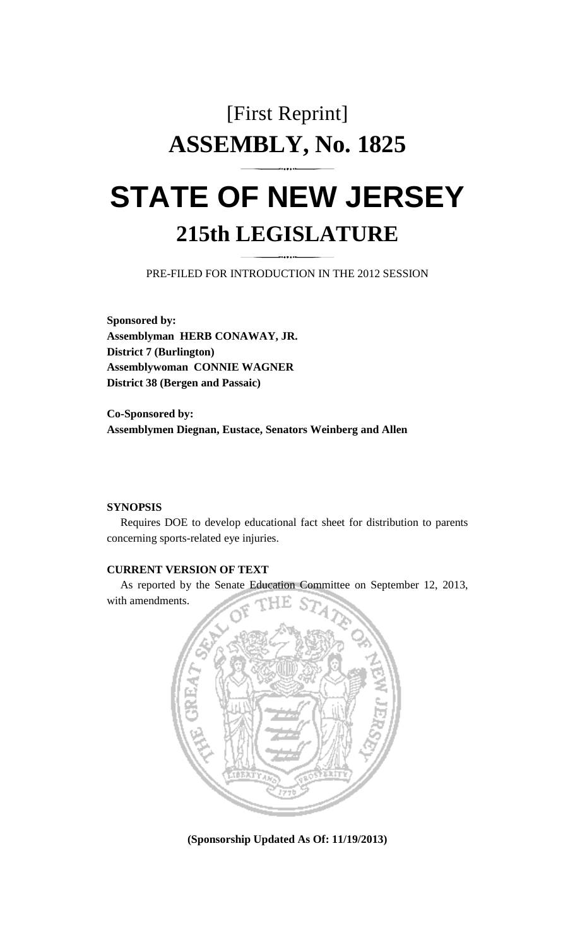# [First Reprint] **ASSEMBLY, No. 1825**

# **STATE OF NEW JERSEY 215th LEGISLATURE**

PRE-FILED FOR INTRODUCTION IN THE 2012 SESSION

**Sponsored by: Assemblyman HERB CONAWAY, JR. District 7 (Burlington) Assemblywoman CONNIE WAGNER District 38 (Bergen and Passaic)** 

**Co-Sponsored by: Assemblymen Diegnan, Eustace, Senators Weinberg and Allen** 

#### **SYNOPSIS**

 Requires DOE to develop educational fact sheet for distribution to parents concerning sports-related eye injuries.

### **CURRENT VERSION OF TEXT**

 As reported by the Senate Education Committee on September 12, 2013, with amendments.



**(Sponsorship Updated As Of: 11/19/2013)**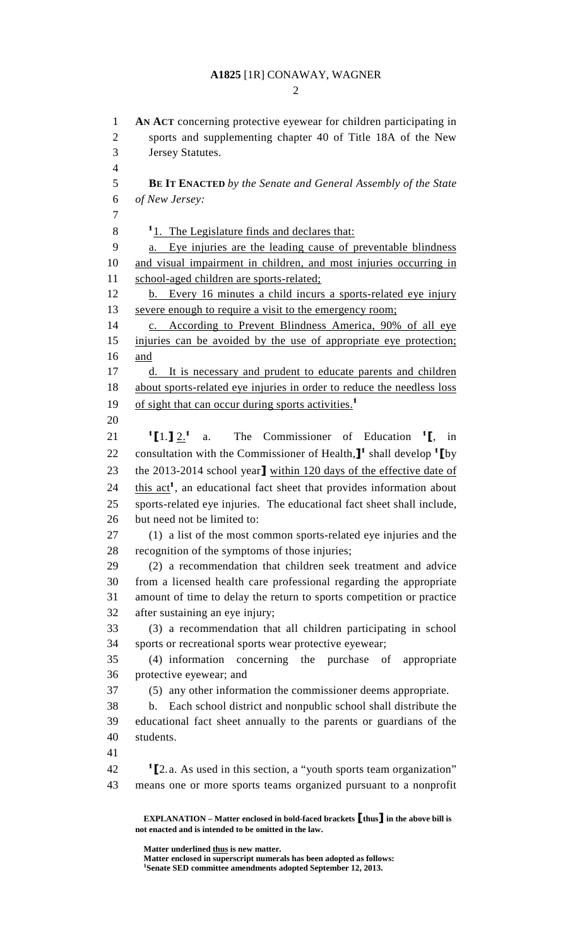#### **A1825** [1R] CONAWAY, WAGNER

 $\mathcal{D}_{\mathcal{L}}$ 

1 **AN ACT** concerning protective eyewear for children participating in 2 sports and supplementing chapter 40 of Title 18A of the New 3 Jersey Statutes. 4 5 **BE IT ENACTED** *by the Senate and General Assembly of the State*  6 *of New Jersey:* 7  $\frac{11}{1}$ . The Legislature finds and declares that: 9 a. Eye injuries are the leading cause of preventable blindness 10 and visual impairment in children, and most injuries occurring in 11 school-aged children are sports-related; 12 b. Every 16 minutes a child incurs a sports-related eye injury 13 severe enough to require a visit to the emergency room; 14 c. According to Prevent Blindness America, 90% of all eye 15 injuries can be avoided by the use of appropriate eye protection; 16 and 17 d. It is necessary and prudent to educate parents and children 18 about sports-related eye injuries in order to reduce the needless loss 19 of sight that can occur during sports activities.<sup>1</sup> 20  $^{1}$ [1.]  $2.^{1}$ 21  $\frac{1}{2}$   $\left[1.1\right]$   $2.1$  a. The Commissioner of Education  $\left[1.1\right]$  in 22 consultation with the Commissioner of Health, $J^1$  shall develop  ${}^1\Gamma$ by 23 the 2013-2014 school year] within 120 days of the effective date of  $24$  this act<sup>1</sup>, an educational fact sheet that provides information about 25 sports-related eye injuries. The educational fact sheet shall include, 26 but need not be limited to: 27 (1) a list of the most common sports-related eye injuries and the 28 recognition of the symptoms of those injuries; 29 (2) a recommendation that children seek treatment and advice 30 from a licensed health care professional regarding the appropriate 31 amount of time to delay the return to sports competition or practice 32 after sustaining an eye injury; 33 (3) a recommendation that all children participating in school 34 sports or recreational sports wear protective eyewear; 35 (4) information concerning the purchase of appropriate 36 protective eyewear; and 37 (5) any other information the commissioner deems appropriate. 38 b. Each school district and nonpublic school shall distribute the 39 educational fact sheet annually to the parents or guardians of the 40 students. 41  $12 \cdot 1$  [2. a. As used in this section, a "youth sports team organization" 43 means one or more sports teams organized pursuant to a nonprofit

**EXPLANATION – Matter enclosed in bold-faced brackets** [**thus**] **in the above bill is not enacted and is intended to be omitted in the law.** 

**Matter underlined thus is new matter.** 

Matter enclosed in superscript numerals has been adopted as follows:

<sup>&</sup>lt;sup>1</sup>Senate SED committee amendments adopted September 12, 2013.